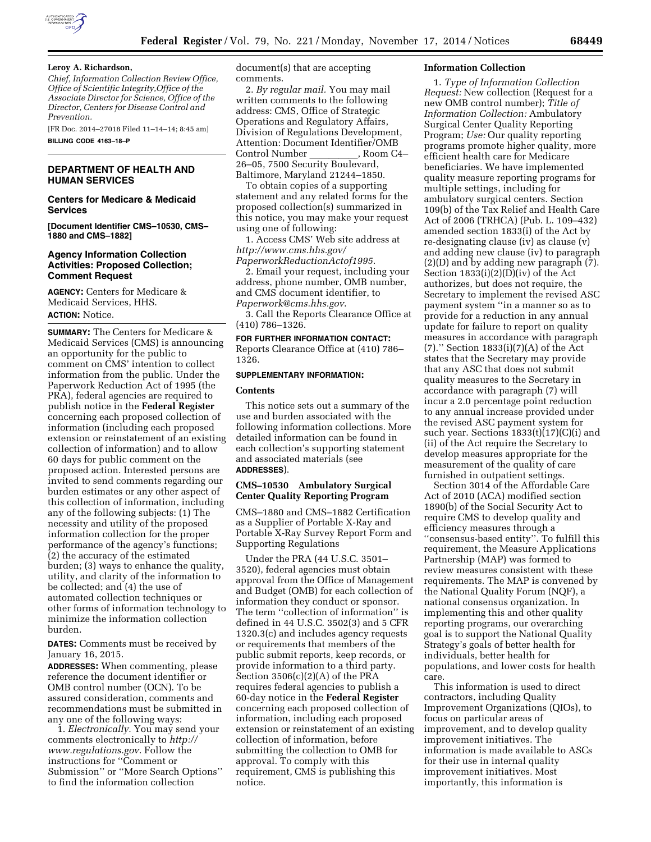

#### **Leroy A. Richardson,**

*Chief, Information Collection Review Office, Office of Scientific Integrity,Office of the Associate Director for Science, Office of the Director, Centers for Disease Control and Prevention.* 

[FR Doc. 2014–27018 Filed 11–14–14; 8:45 am] **BILLING CODE 4163–18–P** 

## **DEPARTMENT OF HEALTH AND HUMAN SERVICES**

#### **Centers for Medicare & Medicaid Services**

**[Document Identifier CMS–10530, CMS– 1880 and CMS–1882]** 

## **Agency Information Collection Activities: Proposed Collection; Comment Request**

**AGENCY:** Centers for Medicare & Medicaid Services, HHS. **ACTION:** Notice.

**SUMMARY:** The Centers for Medicare & Medicaid Services (CMS) is announcing an opportunity for the public to comment on CMS' intention to collect information from the public. Under the Paperwork Reduction Act of 1995 (the PRA), federal agencies are required to publish notice in the **Federal Register**  concerning each proposed collection of information (including each proposed extension or reinstatement of an existing collection of information) and to allow 60 days for public comment on the proposed action. Interested persons are invited to send comments regarding our burden estimates or any other aspect of this collection of information, including any of the following subjects: (1) The necessity and utility of the proposed information collection for the proper performance of the agency's functions; (2) the accuracy of the estimated burden; (3) ways to enhance the quality, utility, and clarity of the information to be collected; and (4) the use of automated collection techniques or other forms of information technology to minimize the information collection burden.

**DATES:** Comments must be received by January 16, 2015.

**ADDRESSES:** When commenting, please reference the document identifier or OMB control number (OCN). To be assured consideration, comments and recommendations must be submitted in any one of the following ways:

1. *Electronically.* You may send your comments electronically to *[http://](http://www.regulations.gov) [www.regulations.gov](http://www.regulations.gov)*. Follow the instructions for ''Comment or Submission'' or ''More Search Options'' to find the information collection

document(s) that are accepting comments.

2. *By regular mail.* You may mail written comments to the following address: CMS, Office of Strategic Operations and Regulatory Affairs, Division of Regulations Development, Attention: Document Identifier/OMB Control Number \_\_\_\_\_\_\_\_\_, Room C4–<br>26–05, 7500 Security Boulevard, Baltimore, Maryland 21244–1850.

To obtain copies of a supporting statement and any related forms for the proposed collection(s) summarized in this notice, you may make your request using one of following:

1. Access CMS' Web site address at *[http://www.cms.hhs.gov/](http://www.cms.hhs.gov/PaperworkReductionActof1995) [PaperworkReductionActof1995](http://www.cms.hhs.gov/PaperworkReductionActof1995)*.

2. Email your request, including your address, phone number, OMB number, and CMS document identifier, to *[Paperwork@cms.hhs.gov](mailto:Paperwork@cms.hhs.gov)*.

3. Call the Reports Clearance Office at (410) 786–1326.

# **FOR FURTHER INFORMATION CONTACT:**

Reports Clearance Office at (410) 786– 1326.

#### **SUPPLEMENTARY INFORMATION:**

#### **Contents**

This notice sets out a summary of the use and burden associated with the following information collections. More detailed information can be found in each collection's supporting statement and associated materials (see **ADDRESSES**).

## **CMS–10530 Ambulatory Surgical Center Quality Reporting Program**

CMS–1880 and CMS–1882 Certification as a Supplier of Portable X-Ray and Portable X-Ray Survey Report Form and Supporting Regulations

Under the PRA (44 U.S.C. 3501– 3520), federal agencies must obtain approval from the Office of Management and Budget (OMB) for each collection of information they conduct or sponsor. The term ''collection of information'' is defined in 44 U.S.C. 3502(3) and 5 CFR 1320.3(c) and includes agency requests or requirements that members of the public submit reports, keep records, or provide information to a third party. Section 3506(c)(2)(A) of the PRA requires federal agencies to publish a 60-day notice in the **Federal Register**  concerning each proposed collection of information, including each proposed extension or reinstatement of an existing collection of information, before submitting the collection to OMB for approval. To comply with this requirement, CMS is publishing this notice.

#### **Information Collection**

1. *Type of Information Collection Request:* New collection (Request for a new OMB control number); *Title of Information Collection:* Ambulatory Surgical Center Quality Reporting Program; *Use:* Our quality reporting programs promote higher quality, more efficient health care for Medicare beneficiaries. We have implemented quality measure reporting programs for multiple settings, including for ambulatory surgical centers. Section 109(b) of the Tax Relief and Health Care Act of 2006 (TRHCA) (Pub. L. 109–432) amended section 1833(i) of the Act by re-designating clause (iv) as clause (v) and adding new clause (iv) to paragraph (2)(D) and by adding new paragraph (7). Section 1833(i)(2)(D)(iv) of the Act authorizes, but does not require, the Secretary to implement the revised ASC payment system ''in a manner so as to provide for a reduction in any annual update for failure to report on quality measures in accordance with paragraph (7).'' Section 1833(i)(7)(A) of the Act states that the Secretary may provide that any ASC that does not submit quality measures to the Secretary in accordance with paragraph (7) will incur a 2.0 percentage point reduction to any annual increase provided under the revised ASC payment system for such year. Sections 1833(t)(17)(C)(i) and (ii) of the Act require the Secretary to develop measures appropriate for the measurement of the quality of care furnished in outpatient settings.

Section 3014 of the Affordable Care Act of 2010 (ACA) modified section 1890(b) of the Social Security Act to require CMS to develop quality and efficiency measures through a ''consensus-based entity''. To fulfill this requirement, the Measure Applications Partnership (MAP) was formed to review measures consistent with these requirements. The MAP is convened by the National Quality Forum (NQF), a national consensus organization. In implementing this and other quality reporting programs, our overarching goal is to support the National Quality Strategy's goals of better health for individuals, better health for populations, and lower costs for health care.

This information is used to direct contractors, including Quality Improvement Organizations (QIOs), to focus on particular areas of improvement, and to develop quality improvement initiatives. The information is made available to ASCs for their use in internal quality improvement initiatives. Most importantly, this information is